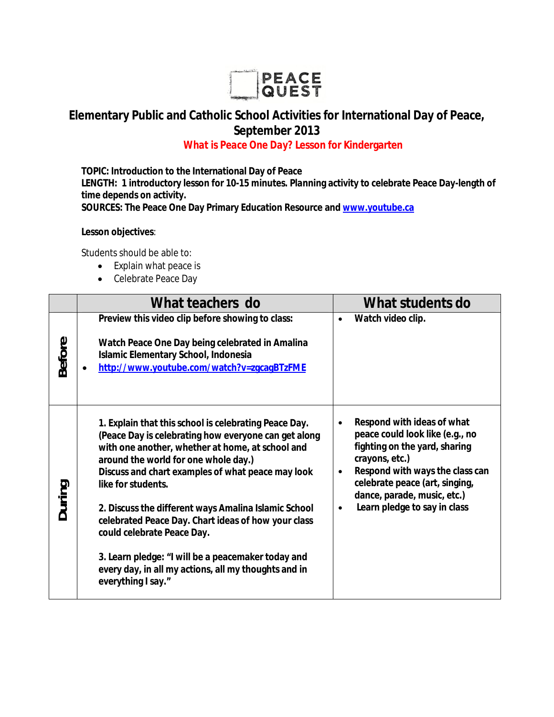

## **Elementary Public and Catholic School Activities for International Day of Peace, September 2013**

## *What is Peace One Day?* **Lesson for Kindergarten**

**TOPIC: Introduction to the International Day of Peace LENGTH: 1 introductory lesson for 10-15 minutes. Planning activity to celebrate Peace Day-length of time depends on activity. SOURCES: The Peace One Day Primary Education Resource and www.youtube.ca**

**Lesson objectives**:

Students should be able to:

- Explain what peace is
- Celebrate Peace Day

|               | What teachers do                                                                                                                                                                                                                                                                                                                                                                                                                                                                                                                                                      | What students do                                                                                                                                                                                                                                                       |
|---------------|-----------------------------------------------------------------------------------------------------------------------------------------------------------------------------------------------------------------------------------------------------------------------------------------------------------------------------------------------------------------------------------------------------------------------------------------------------------------------------------------------------------------------------------------------------------------------|------------------------------------------------------------------------------------------------------------------------------------------------------------------------------------------------------------------------------------------------------------------------|
| <b>Before</b> | Preview this video clip before showing to class:<br>Watch Peace One Day being celebrated in Amalina<br>Islamic Elementary School, Indonesia<br>http://www.youtube.com/watch?v=zqcaqBTzFME                                                                                                                                                                                                                                                                                                                                                                             | Watch video clip.<br>$\bullet$                                                                                                                                                                                                                                         |
| During        | 1. Explain that this school is celebrating Peace Day.<br>(Peace Day is celebrating how everyone can get along<br>with one another, whether at home, at school and<br>around the world for one whole day.)<br>Discuss and chart examples of what peace may look<br>like for students.<br>2. Discuss the different ways Amalina Islamic School<br>celebrated Peace Day. Chart ideas of how your class<br>could celebrate Peace Day.<br>3. Learn pledge: "I will be a peacemaker today and<br>every day, in all my actions, all my thoughts and in<br>everything I say." | Respond with ideas of what<br>peace could look like (e.g., no<br>fighting on the yard, sharing<br>crayons, etc.)<br>Respond with ways the class can<br>$\bullet$<br>celebrate peace (art, singing,<br>dance, parade, music, etc.)<br>Learn pledge to say in class<br>٠ |